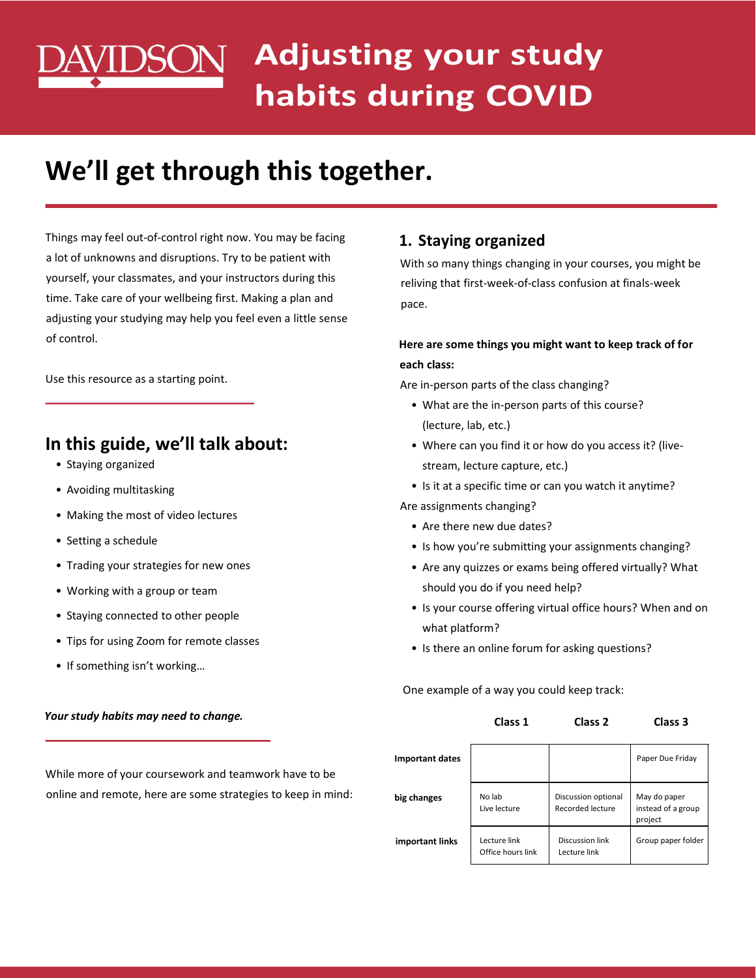# **Adjusting your study habits during COVID**

# **We'll get through this together.**

Things may feel out-of-control right now. You may be facing a lot of unknowns and disruptions. Try to be patient with yourself, your classmates, and your instructors during this time. Take care of your wellbeing first. Making a plan and adjusting your studying may help you feel even a little sense of control.

Use this resource as a starting point.

# **In this guide, we'll talk about:**

- Staying organized
- Avoiding multitasking
- Making the most of video lectures
- Setting a schedule
- Trading your strategies for new ones
- Working with a group or team
- Staying connected to other people
- Tips for using Zoom for remote classes
- If something isn't working…

#### *Your study habits may need to change.*

# **1. Staying organized**

With so many things changing in your courses, you might be reliving that first-week-of-class confusion at finals-week pace.

## **Here are some things you might want to keep track of for each class:**

Are in-person parts of the class changing?

- What are the in-person parts of this course? (lecture, lab, etc.)
- Where can you find it or how do you access it? (livestream, lecture capture, etc.)
- Is it at a specific time or can you watch it anytime?
- Are assignments changing?
	- Are there new due dates?
	- Is how you're submitting your assignments changing?
	- Are any quizzes or exams being offered virtually? What should you do if you need help?
	- Is your course offering virtual office hours? When and on what platform?
	- Is there an online forum for asking questions?

One example of a way you could keep track:

**Class 1 Class 2 Class 3**

| <b>Important dates</b> |                                   |                                         | Paper Due Friday                              |
|------------------------|-----------------------------------|-----------------------------------------|-----------------------------------------------|
| big changes            | No lab<br>Live lecture            | Discussion optional<br>Recorded lecture | May do paper<br>instead of a group<br>project |
| important links        | Lecture link<br>Office hours link | Discussion link<br>Lecture link         | Group paper folder                            |

While more of your coursework and teamwork have to be online and remote, here are some strategies to keep in mind: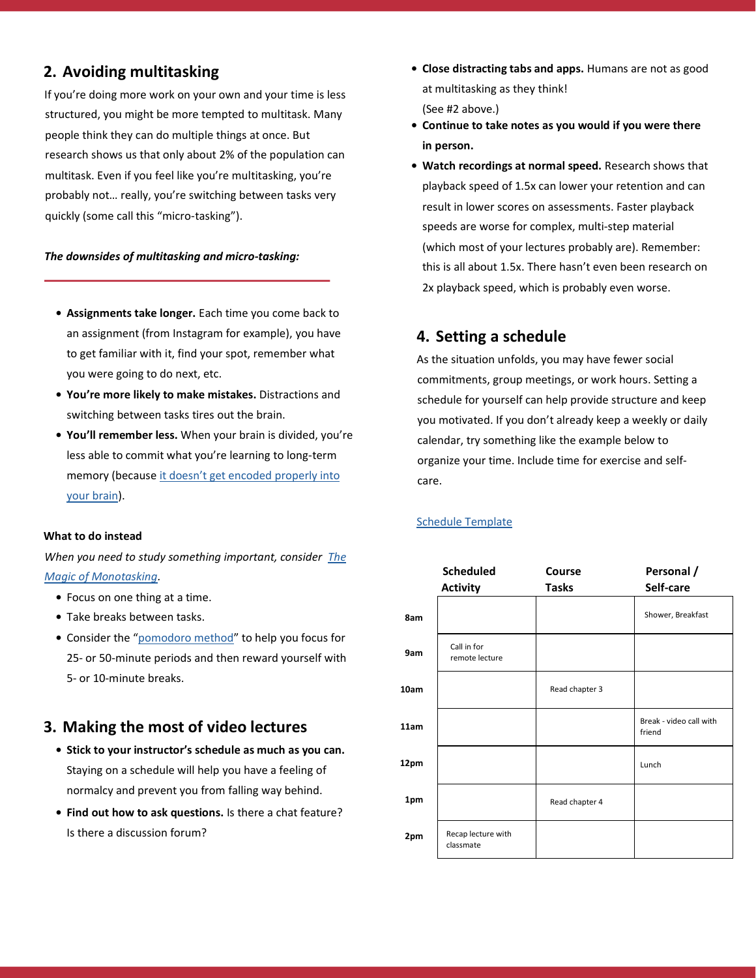# **2. Avoiding multitasking**

If you're doing more work on your own and your time is less structured, you might be more tempted to multitask. Many people think they can do multiple things at once. But research shows us that only about 2% of the population can multitask. Even if you feel like you're multitasking, you're probably not… really, you're switching between tasks very quickly (some call this "micro-tasking").

#### *The downsides of multitasking and micro-tasking:*

- **• Assignments take longer.** Each time you come back to an assignment (from Instagram for example), you have to get familiar with it, find your spot, remember what you were going to do next, etc.
- **• You're more likely to make mistakes.** Distractions and switching between tasks tires out the brain.
- **• You'll remember less.** When your brain is divided, you're less able to commit what you're learning to long-term memory (because [it doesn't get encoded](https://www.ncbi.nlm.nih.gov/pubmed/10868332) [properly into](https://www.ncbi.nlm.nih.gov/pubmed/10868332)  [your brain\)](https://www.ncbi.nlm.nih.gov/pubmed/10868332).

#### **What to do instead**

*When you need to study something important, consider [The](https://www.huffpost.com/entry/the-magic-of-monotasking_b_9239892)  [Magic of Monotasking.](https://www.huffpost.com/entry/the-magic-of-monotasking_b_9239892)* 

- **•** Focus on one thing at a time.
- **•** Take breaks between tasks.
- **•** Consider the "[pomodoro method](https://tomato-timer.com/)" to help you focus for 25- or 50-minute periods and then reward yourself with 5- or 10-minute breaks.

#### **3. Making the most of video lectures**

- **• Stick to your instructor's schedule as much as you can.** Staying on a schedule will help you have a feeling of normalcy and prevent you from falling way behind.
- **• Find out how to ask questions.** Is there a chat feature? Is there a discussion forum?
- **• Close distracting tabs and apps.** Humans are not as good at multitasking as they think! (See #2 above.)
- **• Continue to take notes as you would if you were there in person.**
- **• Watch recordings at normal speed.** Research shows that playback speed of 1.5x can lower your retention and can result in lower scores on assessments. Faster playback speeds are worse for complex, multi-step material (which most of your lectures probably are). Remember: this is all about 1.5x. There hasn't even been research on 2x playback speed, which is probably even worse.

#### **4. Setting a schedule**

As the situation unfolds, you may have fewer social commitments, group meetings, or work hours. Setting a schedule for yourself can help provide structure and keep you motivated. If you don't already keep a weekly or daily calendar, try something like the example below to organize your time. Include time for exercise and selfcare.

#### [Schedule Template](https://docs.google.com/spreadsheets/d/1RLK9JF-wWfOqKuZQpDjpBZ_nA5d3t9EGqLua4fCEUtU/edit#gid=0)

|      | <b>Scheduled</b><br><b>Activity</b> | Course<br><b>Tasks</b> | Personal /<br>Self-care           |
|------|-------------------------------------|------------------------|-----------------------------------|
| 8am  |                                     |                        | Shower, Breakfast                 |
| 9am  | Call in for<br>remote lecture       |                        |                                   |
| 10am |                                     | Read chapter 3         |                                   |
| 11am |                                     |                        | Break - video call with<br>friend |
| 12pm |                                     |                        | Lunch                             |
| 1pm  |                                     | Read chapter 4         |                                   |
| 2pm  | Recap lecture with<br>classmate     |                        |                                   |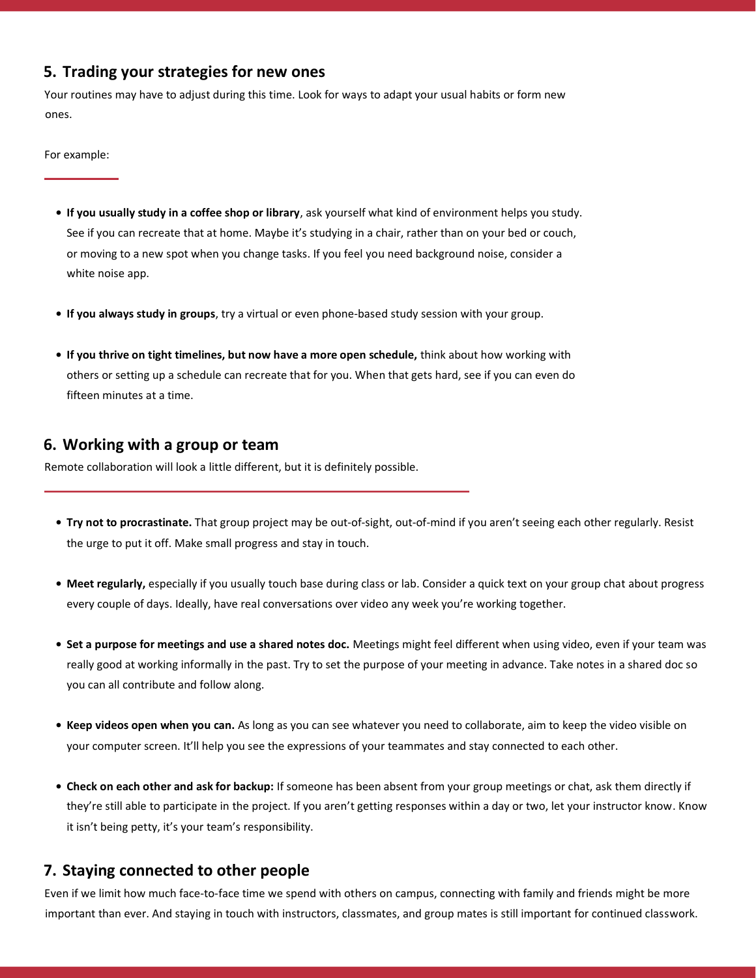# **5. Trading your strategies for new ones**

Your routines may have to adjust during this time. Look for ways to adapt your usual habits or form new ones.

For example:

- **• If you usually study in a coffee shop or library**, ask yourself what kind of environment helps you study. See if you can recreate that at home. Maybe it's studying in a chair, rather than on your bed or couch, or moving to a new spot when you change tasks. If you feel you need background noise, consider a white noise app.
- **• If you always study in groups**, try a virtual or even phone-based study session with your group.
- **• If you thrive on tight timelines, but now have a more open schedule,** think about how working with others or setting up a schedule can recreate that for you. When that gets hard, see if you can even do fifteen minutes at a time.

#### **6. Working with a group or team**

Remote collaboration will look a little different, but it is definitely possible.

- **• Try not to procrastinate.** That group project may be out-of-sight, out-of-mind if you aren't seeing each other regularly. Resist the urge to put it off. Make small progress and stay in touch.
- **• Meet regularly,** especially if you usually touch base during class or lab. Consider a quick text on your group chat about progress every couple of days. Ideally, have real conversations over video any week you're working together.
- **• Set a purpose for meetings and use a shared notes doc.** Meetings might feel different when using video, even if your team was really good at working informally in the past. Try to set the purpose of your meeting in advance. Take notes in a shared doc so you can all contribute and follow along.
- **• Keep videos open when you can.** As long as you can see whatever you need to collaborate, aim to keep the video visible on your computer screen. It'll help you see the expressions of your teammates and stay connected to each other.
- **• Check on each other and ask for backup:** If someone has been absent from your group meetings or chat, ask them directly if they're still able to participate in the project. If you aren't getting responses within a day or two, let your instructor know. Know it isn't being petty, it's your team's responsibility.

#### **7. Staying connected to other people**

Even if we limit how much face-to-face time we spend with others on campus, connecting with family and friends might be more important than ever. And staying in touch with instructors, classmates, and group mates is still important for continued classwork.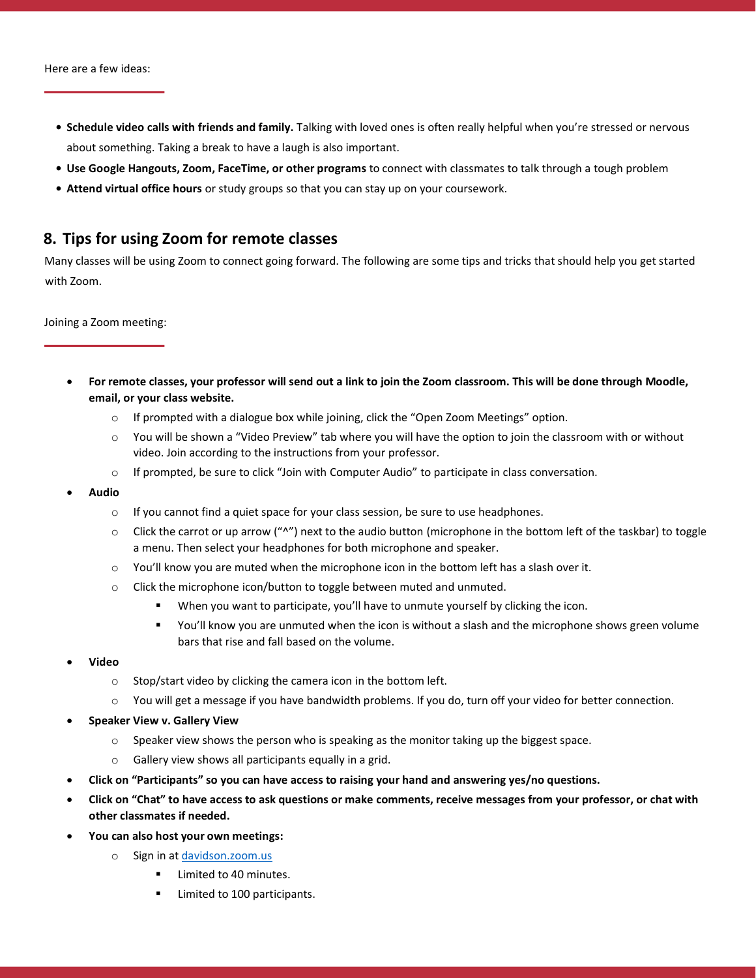- **• Schedule video calls with friends and family.** Talking with loved ones is often really helpful when you're stressed or nervous about something. Taking a break to have a laugh is also important.
- **• Use Google Hangouts, Zoom, FaceTime, or other programs** to connect with classmates to talk through a tough problem
- **• Attend virtual office hours** or study groups so that you can stay up on your coursework.

#### **8. Tips for using Zoom for remote classes**

Many classes will be using Zoom to connect going forward. The following are some tips and tricks that should help you get started with Zoom.

Joining a Zoom meeting:

- **For remote classes, your professor will send out a link to join the Zoom classroom. This will be done through Moodle, email, or your class website.**
	- $\circ$  If prompted with a dialogue box while joining, click the "Open Zoom Meetings" option.
	- o You will be shown a "Video Preview" tab where you will have the option to join the classroom with or without video. Join according to the instructions from your professor.
	- $\circ$  If prompted, be sure to click "Join with Computer Audio" to participate in class conversation.
- **Audio**
	- $\circ$  If you cannot find a quiet space for your class session, be sure to use headphones.
	- $\circ$  Click the carrot or up arrow (" $N$ ") next to the audio button (microphone in the bottom left of the taskbar) to toggle a menu. Then select your headphones for both microphone and speaker.
	- $\circ$  You'll know you are muted when the microphone icon in the bottom left has a slash over it.
	- o Click the microphone icon/button to toggle between muted and unmuted.
		- **■** When you want to participate, you'll have to unmute yourself by clicking the icon.
		- You'll know you are unmuted when the icon is without a slash and the microphone shows green volume bars that rise and fall based on the volume.
- **Video**
	- o Stop/start video by clicking the camera icon in the bottom left.
	- $\circ$  You will get a message if you have bandwidth problems. If you do, turn off your video for better connection.
- **Speaker View v. Gallery View**
	- $\circ$  Speaker view shows the person who is speaking as the monitor taking up the biggest space.
	- o Gallery view shows all participants equally in a grid.
- **Click on "Participants" so you can have access to raising your hand and answering yes/no questions.**
- **Click on "Chat" to have access to ask questions or make comments, receive messages from your professor, or chat with other classmates if needed.**
- **You can also host your own meetings:**
	- o Sign in at<davidson.zoom.us>
		- Limited to 40 minutes.
		- **■** Limited to 100 participants.